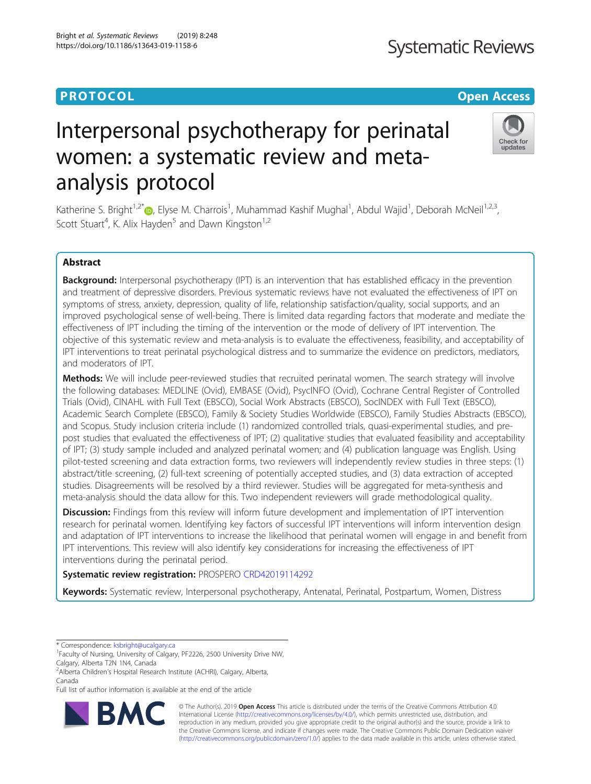# **PROTOCOL CONSUMING THE OPEN ACCESS**

# Interpersonal psychotherapy for perinatal women: a systematic review and metaanalysis protocol

https://doi.org/10.1186/s13643-019-1158-6

Bright et al. Systematic Reviews (2019) 8:248

Katherine S. Bright<sup>1,2[\\*](http://orcid.org/0000-0002-6607-7655)</sup>®, Elyse M. Charrois<sup>1</sup>, Muhammad Kashif Mughal<sup>1</sup>, Abdul Wajid<sup>1</sup>, Deborah McNeil<sup>1,2,3</sup>, Scott Stuart<sup>4</sup>, K. Alix Hayden<sup>5</sup> and Dawn Kingston<sup>1,2</sup>

# Abstract

Background: Interpersonal psychotherapy (IPT) is an intervention that has established efficacy in the prevention and treatment of depressive disorders. Previous systematic reviews have not evaluated the effectiveness of IPT on symptoms of stress, anxiety, depression, quality of life, relationship satisfaction/quality, social supports, and an improved psychological sense of well-being. There is limited data regarding factors that moderate and mediate the effectiveness of IPT including the timing of the intervention or the mode of delivery of IPT intervention. The objective of this systematic review and meta-analysis is to evaluate the effectiveness, feasibility, and acceptability of IPT interventions to treat perinatal psychological distress and to summarize the evidence on predictors, mediators, and moderators of IPT.

Methods: We will include peer-reviewed studies that recruited perinatal women. The search strategy will involve the following databases: MEDLINE (Ovid), EMBASE (Ovid), PsycINFO (Ovid), Cochrane Central Register of Controlled Trials (Ovid), CINAHL with Full Text (EBSCO), Social Work Abstracts (EBSCO), SocINDEX with Full Text (EBSCO), Academic Search Complete (EBSCO), Family & Society Studies Worldwide (EBSCO), Family Studies Abstracts (EBSCO), and Scopus. Study inclusion criteria include (1) randomized controlled trials, quasi-experimental studies, and prepost studies that evaluated the effectiveness of IPT; (2) qualitative studies that evaluated feasibility and acceptability of IPT; (3) study sample included and analyzed perinatal women; and (4) publication language was English. Using pilot-tested screening and data extraction forms, two reviewers will independently review studies in three steps: (1) abstract/title screening, (2) full-text screening of potentially accepted studies, and (3) data extraction of accepted studies. Disagreements will be resolved by a third reviewer. Studies will be aggregated for meta-synthesis and meta-analysis should the data allow for this. Two independent reviewers will grade methodological quality.

Discussion: Findings from this review will inform future development and implementation of IPT intervention research for perinatal women. Identifying key factors of successful IPT interventions will inform intervention design and adaptation of IPT interventions to increase the likelihood that perinatal women will engage in and benefit from IPT interventions. This review will also identify key considerations for increasing the effectiveness of IPT interventions during the perinatal period.

Systematic review registration: PROSPERO [CRD42019114292](https://www.crd.york.ac.uk/prospero/display_record.php?ID=CRD42019114292)

Keywords: Systematic review, Interpersonal psychotherapy, Antenatal, Perinatal, Postpartum, Women, Distress

\* Correspondence: [ksbright@ucalgary.ca](mailto:ksbright@ucalgary.ca) <sup>1</sup>

<sup>1</sup> Faculty of Nursing, University of Calgary, PF2226, 2500 University Drive NW, Calgary, Alberta T2N 1N4, Canada

2 Alberta Children's Hospital Research Institute (ACHRI), Calgary, Alberta, Canada

Full list of author information is available at the end of the article



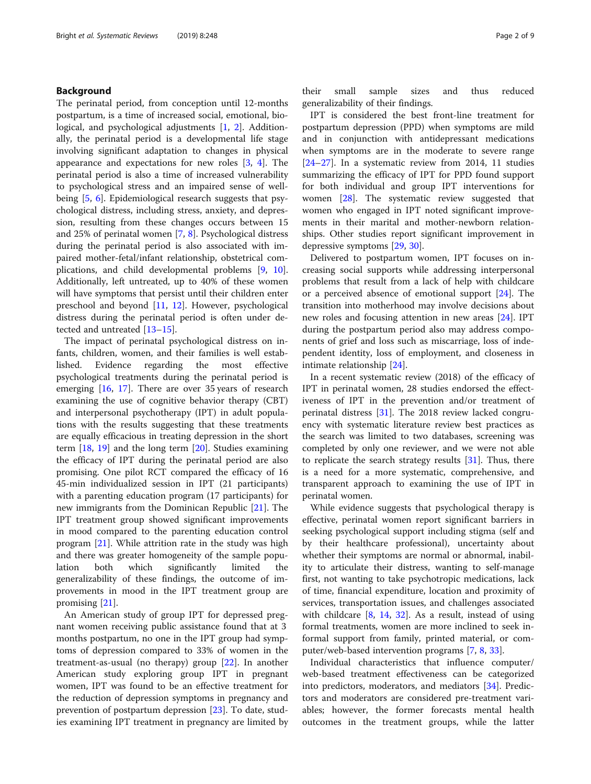# Background

The perinatal period, from conception until 12-months postpartum, is a time of increased social, emotional, biological, and psychological adjustments [[1,](#page-7-0) [2](#page-7-0)]. Additionally, the perinatal period is a developmental life stage involving significant adaptation to changes in physical appearance and expectations for new roles [[3,](#page-7-0) [4](#page-7-0)]. The perinatal period is also a time of increased vulnerability to psychological stress and an impaired sense of wellbeing [[5,](#page-7-0) [6](#page-7-0)]. Epidemiological research suggests that psychological distress, including stress, anxiety, and depression, resulting from these changes occurs between 15 and 25% of perinatal women [[7](#page-7-0), [8](#page-7-0)]. Psychological distress during the perinatal period is also associated with impaired mother-fetal/infant relationship, obstetrical complications, and child developmental problems [[9](#page-7-0), [10](#page-7-0)]. Additionally, left untreated, up to 40% of these women will have symptoms that persist until their children enter preschool and beyond [\[11](#page-7-0), [12](#page-7-0)]. However, psychological distress during the perinatal period is often under detected and untreated [[13](#page-7-0)–[15](#page-7-0)].

The impact of perinatal psychological distress on infants, children, women, and their families is well established. Evidence regarding the most effective psychological treatments during the perinatal period is emerging [[16](#page-7-0), [17\]](#page-7-0). There are over 35 years of research examining the use of cognitive behavior therapy (CBT) and interpersonal psychotherapy (IPT) in adult populations with the results suggesting that these treatments are equally efficacious in treating depression in the short term [[18,](#page-7-0) [19\]](#page-7-0) and the long term [[20](#page-8-0)]. Studies examining the efficacy of IPT during the perinatal period are also promising. One pilot RCT compared the efficacy of 16 45-min individualized session in IPT (21 participants) with a parenting education program (17 participants) for new immigrants from the Dominican Republic [[21\]](#page-8-0). The IPT treatment group showed significant improvements in mood compared to the parenting education control program [\[21](#page-8-0)]. While attrition rate in the study was high and there was greater homogeneity of the sample population both which significantly limited the generalizability of these findings, the outcome of improvements in mood in the IPT treatment group are promising [\[21\]](#page-8-0).

An American study of group IPT for depressed pregnant women receiving public assistance found that at 3 months postpartum, no one in the IPT group had symptoms of depression compared to 33% of women in the treatment-as-usual (no therapy) group [\[22\]](#page-8-0). In another American study exploring group IPT in pregnant women, IPT was found to be an effective treatment for the reduction of depression symptoms in pregnancy and prevention of postpartum depression [\[23](#page-8-0)]. To date, studies examining IPT treatment in pregnancy are limited by their small sample sizes and thus reduced generalizability of their findings.

IPT is considered the best front-line treatment for postpartum depression (PPD) when symptoms are mild and in conjunction with antidepressant medications when symptoms are in the moderate to severe range [[24](#page-8-0)–[27](#page-8-0)]. In a systematic review from 2014, 11 studies summarizing the efficacy of IPT for PPD found support for both individual and group IPT interventions for women [\[28](#page-8-0)]. The systematic review suggested that women who engaged in IPT noted significant improvements in their marital and mother-newborn relationships. Other studies report significant improvement in depressive symptoms [[29](#page-8-0), [30](#page-8-0)].

Delivered to postpartum women, IPT focuses on increasing social supports while addressing interpersonal problems that result from a lack of help with childcare or a perceived absence of emotional support [[24\]](#page-8-0). The transition into motherhood may involve decisions about new roles and focusing attention in new areas [\[24](#page-8-0)]. IPT during the postpartum period also may address components of grief and loss such as miscarriage, loss of independent identity, loss of employment, and closeness in intimate relationship [[24\]](#page-8-0).

In a recent systematic review (2018) of the efficacy of IPT in perinatal women, 28 studies endorsed the effectiveness of IPT in the prevention and/or treatment of perinatal distress [\[31](#page-8-0)]. The 2018 review lacked congruency with systematic literature review best practices as the search was limited to two databases, screening was completed by only one reviewer, and we were not able to replicate the search strategy results [[31](#page-8-0)]. Thus, there is a need for a more systematic, comprehensive, and transparent approach to examining the use of IPT in perinatal women.

While evidence suggests that psychological therapy is effective, perinatal women report significant barriers in seeking psychological support including stigma (self and by their healthcare professional), uncertainty about whether their symptoms are normal or abnormal, inability to articulate their distress, wanting to self-manage first, not wanting to take psychotropic medications, lack of time, financial expenditure, location and proximity of services, transportation issues, and challenges associated with childcare [\[8](#page-7-0), [14](#page-7-0), [32\]](#page-8-0). As a result, instead of using formal treatments, women are more inclined to seek informal support from family, printed material, or computer/web-based intervention programs [\[7](#page-7-0), [8](#page-7-0), [33](#page-8-0)].

Individual characteristics that influence computer/ web-based treatment effectiveness can be categorized into predictors, moderators, and mediators [\[34](#page-8-0)]. Predictors and moderators are considered pre-treatment variables; however, the former forecasts mental health outcomes in the treatment groups, while the latter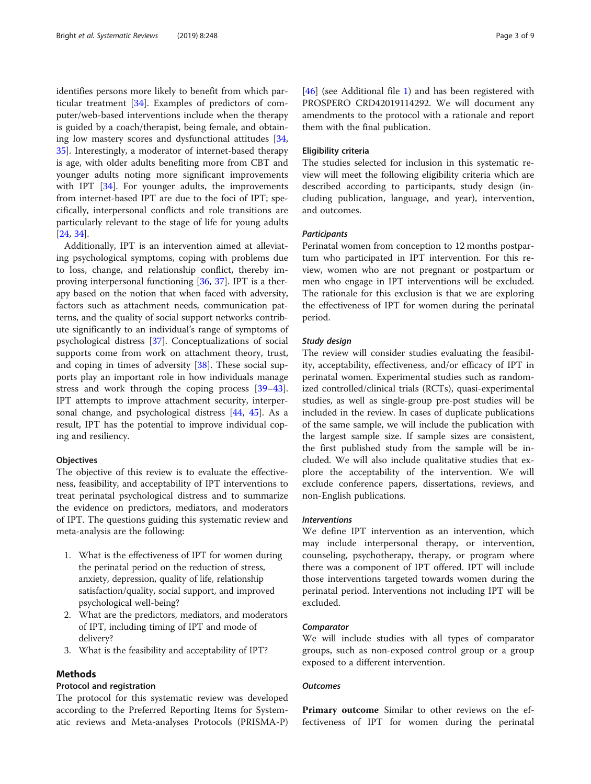identifies persons more likely to benefit from which particular treatment [\[34\]](#page-8-0). Examples of predictors of computer/web-based interventions include when the therapy is guided by a coach/therapist, being female, and obtaining low mastery scores and dysfunctional attitudes [[34](#page-8-0), [35\]](#page-8-0). Interestingly, a moderator of internet-based therapy is age, with older adults benefiting more from CBT and younger adults noting more significant improvements with IPT [[34\]](#page-8-0). For younger adults, the improvements from internet-based IPT are due to the foci of IPT; specifically, interpersonal conflicts and role transitions are particularly relevant to the stage of life for young adults [[24,](#page-8-0) [34\]](#page-8-0).

Additionally, IPT is an intervention aimed at alleviating psychological symptoms, coping with problems due to loss, change, and relationship conflict, thereby improving interpersonal functioning [\[36](#page-8-0), [37](#page-8-0)]. IPT is a therapy based on the notion that when faced with adversity, factors such as attachment needs, communication patterns, and the quality of social support networks contribute significantly to an individual's range of symptoms of psychological distress [[37](#page-8-0)]. Conceptualizations of social supports come from work on attachment theory, trust, and coping in times of adversity [[38\]](#page-8-0). These social supports play an important role in how individuals manage stress and work through the coping process [[39](#page-8-0)–[43](#page-8-0)]. IPT attempts to improve attachment security, interpersonal change, and psychological distress [[44](#page-8-0), [45\]](#page-8-0). As a result, IPT has the potential to improve individual coping and resiliency.

#### **Objectives**

The objective of this review is to evaluate the effectiveness, feasibility, and acceptability of IPT interventions to treat perinatal psychological distress and to summarize the evidence on predictors, mediators, and moderators of IPT. The questions guiding this systematic review and meta-analysis are the following:

- 1. What is the effectiveness of IPT for women during the perinatal period on the reduction of stress, anxiety, depression, quality of life, relationship satisfaction/quality, social support, and improved psychological well-being?
- 2. What are the predictors, mediators, and moderators of IPT, including timing of IPT and mode of delivery?
- 3. What is the feasibility and acceptability of IPT?

# Methods

#### Protocol and registration

The protocol for this systematic review was developed according to the Preferred Reporting Items for Systematic reviews and Meta-analyses Protocols (PRISMA-P)

[[46\]](#page-8-0) (see Additional file [1\)](#page-7-0) and has been registered with PROSPERO CRD42019114292. We will document any amendments to the protocol with a rationale and report them with the final publication.

## Eligibility criteria

The studies selected for inclusion in this systematic review will meet the following eligibility criteria which are described according to participants, study design (including publication, language, and year), intervention, and outcomes.

#### **Participants**

Perinatal women from conception to 12 months postpartum who participated in IPT intervention. For this review, women who are not pregnant or postpartum or men who engage in IPT interventions will be excluded. The rationale for this exclusion is that we are exploring the effectiveness of IPT for women during the perinatal period.

#### Study design

The review will consider studies evaluating the feasibility, acceptability, effectiveness, and/or efficacy of IPT in perinatal women. Experimental studies such as randomized controlled/clinical trials (RCTs), quasi-experimental studies, as well as single-group pre-post studies will be included in the review. In cases of duplicate publications of the same sample, we will include the publication with the largest sample size. If sample sizes are consistent, the first published study from the sample will be included. We will also include qualitative studies that explore the acceptability of the intervention. We will exclude conference papers, dissertations, reviews, and non-English publications.

## Interventions

We define IPT intervention as an intervention, which may include interpersonal therapy, or intervention, counseling, psychotherapy, therapy, or program where there was a component of IPT offered. IPT will include those interventions targeted towards women during the perinatal period. Interventions not including IPT will be excluded.

#### Comparator

We will include studies with all types of comparator groups, such as non-exposed control group or a group exposed to a different intervention.

## **Outcomes**

Primary outcome Similar to other reviews on the effectiveness of IPT for women during the perinatal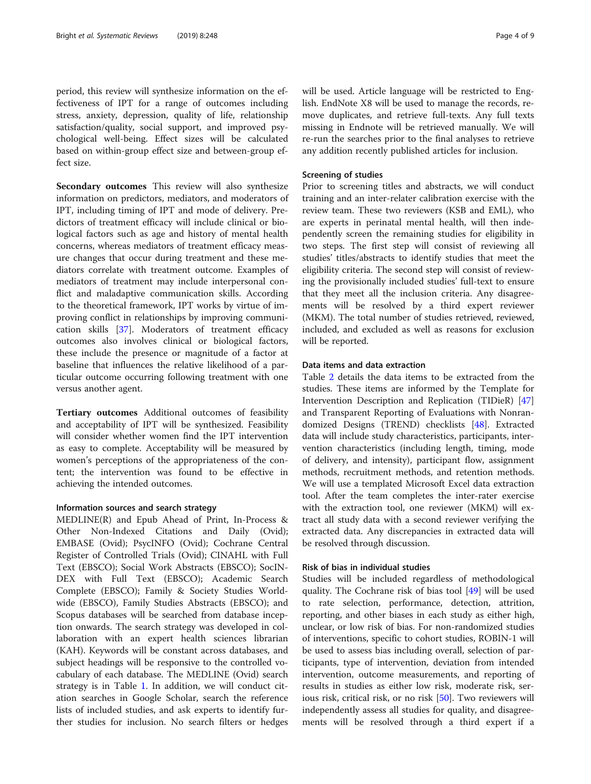period, this review will synthesize information on the effectiveness of IPT for a range of outcomes including stress, anxiety, depression, quality of life, relationship satisfaction/quality, social support, and improved psychological well-being. Effect sizes will be calculated based on within-group effect size and between-group effect size.

Secondary outcomes This review will also synthesize information on predictors, mediators, and moderators of IPT, including timing of IPT and mode of delivery. Predictors of treatment efficacy will include clinical or biological factors such as age and history of mental health concerns, whereas mediators of treatment efficacy measure changes that occur during treatment and these mediators correlate with treatment outcome. Examples of mediators of treatment may include interpersonal conflict and maladaptive communication skills. According to the theoretical framework, IPT works by virtue of improving conflict in relationships by improving communication skills [[37\]](#page-8-0). Moderators of treatment efficacy outcomes also involves clinical or biological factors, these include the presence or magnitude of a factor at baseline that influences the relative likelihood of a particular outcome occurring following treatment with one versus another agent.

Tertiary outcomes Additional outcomes of feasibility and acceptability of IPT will be synthesized. Feasibility will consider whether women find the IPT intervention as easy to complete. Acceptability will be measured by women's perceptions of the appropriateness of the content; the intervention was found to be effective in achieving the intended outcomes.

# Information sources and search strategy

MEDLINE(R) and Epub Ahead of Print, In-Process & Other Non-Indexed Citations and Daily (Ovid); EMBASE (Ovid); PsycINFO (Ovid); Cochrane Central Register of Controlled Trials (Ovid); CINAHL with Full Text (EBSCO); Social Work Abstracts (EBSCO); SocIN-DEX with Full Text (EBSCO); Academic Search Complete (EBSCO); Family & Society Studies Worldwide (EBSCO), Family Studies Abstracts (EBSCO); and Scopus databases will be searched from database inception onwards. The search strategy was developed in collaboration with an expert health sciences librarian (KAH). Keywords will be constant across databases, and subject headings will be responsive to the controlled vocabulary of each database. The MEDLINE (Ovid) search strategy is in Table [1.](#page-4-0) In addition, we will conduct citation searches in Google Scholar, search the reference lists of included studies, and ask experts to identify further studies for inclusion. No search filters or hedges will be used. Article language will be restricted to English. EndNote X8 will be used to manage the records, remove duplicates, and retrieve full-texts. Any full texts missing in Endnote will be retrieved manually. We will re-run the searches prior to the final analyses to retrieve any addition recently published articles for inclusion.

# Screening of studies

Prior to screening titles and abstracts, we will conduct training and an inter-relater calibration exercise with the review team. These two reviewers (KSB and EML), who are experts in perinatal mental health, will then independently screen the remaining studies for eligibility in two steps. The first step will consist of reviewing all studies' titles/abstracts to identify studies that meet the eligibility criteria. The second step will consist of reviewing the provisionally included studies' full-text to ensure that they meet all the inclusion criteria. Any disagreements will be resolved by a third expert reviewer (MKM). The total number of studies retrieved, reviewed, included, and excluded as well as reasons for exclusion will be reported.

# Data items and data extraction

Table [2](#page-6-0) details the data items to be extracted from the studies. These items are informed by the Template for Intervention Description and Replication (TIDieR) [[47](#page-8-0)] and Transparent Reporting of Evaluations with Nonrandomized Designs (TREND) checklists [\[48](#page-8-0)]. Extracted data will include study characteristics, participants, intervention characteristics (including length, timing, mode of delivery, and intensity), participant flow, assignment methods, recruitment methods, and retention methods. We will use a templated Microsoft Excel data extraction tool. After the team completes the inter-rater exercise with the extraction tool, one reviewer (MKM) will extract all study data with a second reviewer verifying the extracted data. Any discrepancies in extracted data will be resolved through discussion.

# Risk of bias in individual studies

Studies will be included regardless of methodological quality. The Cochrane risk of bias tool [\[49](#page-8-0)] will be used to rate selection, performance, detection, attrition, reporting, and other biases in each study as either high, unclear, or low risk of bias. For non-randomized studies of interventions, specific to cohort studies, ROBIN-1 will be used to assess bias including overall, selection of participants, type of intervention, deviation from intended intervention, outcome measurements, and reporting of results in studies as either low risk, moderate risk, serious risk, critical risk, or no risk [[50\]](#page-8-0). Two reviewers will independently assess all studies for quality, and disagreements will be resolved through a third expert if a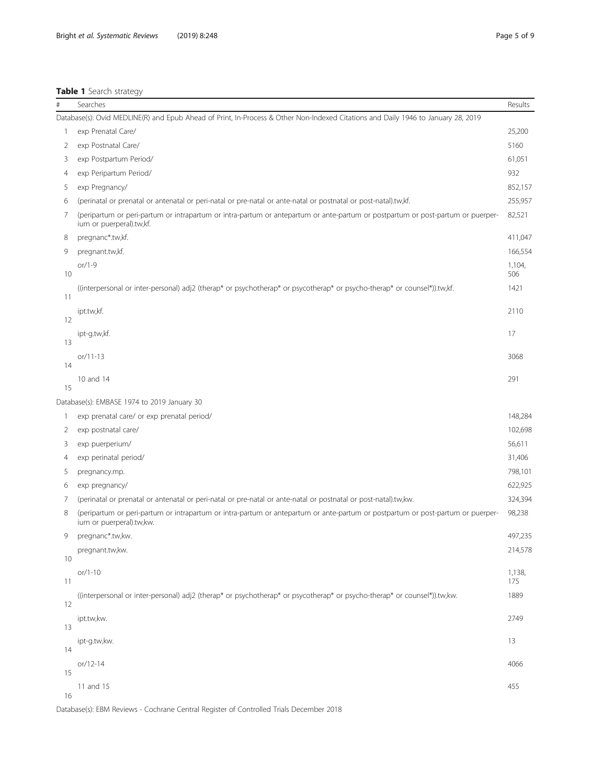# <span id="page-4-0"></span>Table 1 Search strategy

| $\#$ | Searches                                                                                                                                                     | Results       |
|------|--------------------------------------------------------------------------------------------------------------------------------------------------------------|---------------|
|      | Database(s): Ovid MEDLINE(R) and Epub Ahead of Print, In-Process & Other Non-Indexed Citations and Daily 1946 to January 28, 2019                            |               |
| -1   | exp Prenatal Care/                                                                                                                                           | 25,200        |
| 2    | exp Postnatal Care/                                                                                                                                          | 5160          |
| 3    | exp Postpartum Period/                                                                                                                                       | 61,051        |
| 4    | exp Peripartum Period/                                                                                                                                       | 932           |
| 5    | exp Pregnancy/                                                                                                                                               | 852,157       |
| 6    | (perinatal or prenatal or antenatal or peri-natal or pre-natal or ante-natal or postnatal or post-natal).tw,kf.                                              | 255,957       |
| 7    | (peripartum or peri-partum or intrapartum or intra-partum or antepartum or ante-partum or postpartum or post-partum or puerper-<br>ium or puerperal).tw,kf.  | 82,521        |
| 8    | pregnanc*.tw,kf.                                                                                                                                             | 411,047       |
| 9    | pregnant.tw,kf.                                                                                                                                              | 166,554       |
| 10   | or/1-9                                                                                                                                                       | 1,104,<br>506 |
| 11   | ((interpersonal or inter-personal) adj2 (therap* or psychotherap* or psycotherap* or psycho-therap* or counsel*)).tw,kf.                                     | 1421          |
| 12   | ipt.tw,kf.                                                                                                                                                   | 2110          |
| 13   | ipt-g.tw,kf.                                                                                                                                                 | 17            |
| 14   | $or/11-13$                                                                                                                                                   | 3068          |
| 15   | 10 and 14                                                                                                                                                    | 291           |
|      | Database(s): EMBASE 1974 to 2019 January 30                                                                                                                  |               |
| 1    | exp prenatal care/ or exp prenatal period/                                                                                                                   | 148,284       |
| 2    | exp postnatal care/                                                                                                                                          | 102,698       |
| 3    | exp puerperium/                                                                                                                                              | 56,611        |
| 4    | exp perinatal period/                                                                                                                                        | 31,406        |
| 5    | pregnancy.mp.                                                                                                                                                | 798,101       |
| 6    | exp pregnancy/                                                                                                                                               | 622,925       |
| 7    | (perinatal or prenatal or antenatal or peri-natal or pre-natal or ante-natal or postnatal or post-natal).tw,kw.                                              | 324,394       |
| 8    | (peripartum or peri-partum or intrapartum or intra-partum or antepartum or ante-partum or postpartum or post-partum or puerper-<br>ium or puerperal).tw, kw. | 98,238        |
| 9    | pregnanc*.tw,kw.                                                                                                                                             | 497,235       |
| 10   | pregnant.tw,kw.                                                                                                                                              | 214,578       |
| 11   | $or/1-10$                                                                                                                                                    | 1,138,<br>175 |
| 12   | ((interpersonal or inter-personal) adj2 (therap* or psychotherap* or psycotherap* or psycho-therap* or counsel*)).tw,kw.                                     | 1889          |
| 13   | ipt.tw,kw.                                                                                                                                                   | 2749          |
| 14   | ipt-g.tw,kw.                                                                                                                                                 | 13            |
| 15   | $or/12-14$                                                                                                                                                   | 4066          |
| 16   | 11 and 15                                                                                                                                                    | 455           |

Database(s): EBM Reviews - Cochrane Central Register of Controlled Trials December 2018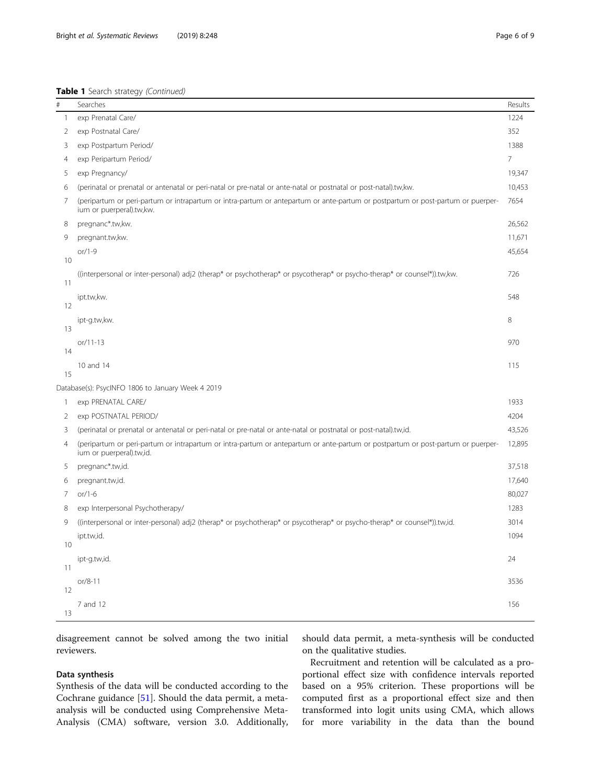| #  | Searches                                                                                                                                                    | Results        |
|----|-------------------------------------------------------------------------------------------------------------------------------------------------------------|----------------|
| 1  | 1224<br>exp Prenatal Care/                                                                                                                                  |                |
| 2  | exp Postnatal Care/<br>352                                                                                                                                  |                |
| 3  | exp Postpartum Period/                                                                                                                                      | 1388           |
| 4  | exp Peripartum Period/                                                                                                                                      | $\overline{7}$ |
| 5  | exp Pregnancy/                                                                                                                                              | 19,347         |
| 6  | (perinatal or prenatal or antenatal or peri-natal or pre-natal or ante-natal or postnatal or post-natal).tw,kw.                                             | 10,453         |
| 7  | (peripartum or peri-partum or intrapartum or intra-partum or antepartum or ante-partum or postpartum or post-partum or puerper-<br>ium or puerperal).tw,kw. | 7654           |
| 8  | pregnanc*.tw,kw.                                                                                                                                            | 26,562         |
| 9  | pregnant.tw,kw.                                                                                                                                             | 11,671         |
| 10 | or/1-9                                                                                                                                                      | 45,654         |
| 11 | ((interpersonal or inter-personal) adj2 (therap* or psychotherap* or psycotherap* or psycho-therap* or counsel*)).tw,kw.                                    | 726            |
| 12 | ipt.tw,kw.                                                                                                                                                  | 548            |
| 13 | ipt-g.tw,kw.                                                                                                                                                | 8              |
| 14 | $or/11-13$                                                                                                                                                  | 970            |
| 15 | 10 and 14                                                                                                                                                   | 115            |
|    | Database(s): PsycINFO 1806 to January Week 4 2019                                                                                                           |                |
| 1  | exp PRENATAL CARE/                                                                                                                                          | 1933           |
| 2  | exp POSTNATAL PERIOD/                                                                                                                                       | 4204           |
| 3  | (perinatal or prenatal or antenatal or peri-natal or pre-natal or ante-natal or postnatal or post-natal).tw,id.                                             | 43,526         |
| 4  | (peripartum or peri-partum or intrapartum or intra-partum or antepartum or ante-partum or postpartum or post-partum or puerper-<br>ium or puerperal).tw,id. | 12,895         |
| 5  | pregnanc*.tw,id.                                                                                                                                            | 37,518         |
| 6  | pregnant.tw,id.                                                                                                                                             | 17,640         |
| 7  | or/1-6                                                                                                                                                      | 80,027         |
| 8  | exp Interpersonal Psychotherapy/                                                                                                                            | 1283           |
| 9  | ((interpersonal or inter-personal) adj2 (therap* or psychotherap* or psycotherap* or psycho-therap* or counsel*)).tw,id.                                    | 3014           |
| 10 | ipt.tw,id.                                                                                                                                                  | 1094           |
| 11 | ipt-g.tw,id.                                                                                                                                                | 24             |
| 12 | $or/8-11$                                                                                                                                                   | 3536           |
| 13 | 7 and 12                                                                                                                                                    | 156            |

disagreement cannot be solved among the two initial reviewers.

# Data synthesis

Synthesis of the data will be conducted according to the Cochrane guidance [[51](#page-8-0)]. Should the data permit, a metaanalysis will be conducted using Comprehensive Meta-Analysis (CMA) software, version 3.0. Additionally, should data permit, a meta-synthesis will be conducted on the qualitative studies.

Recruitment and retention will be calculated as a proportional effect size with confidence intervals reported based on a 95% criterion. These proportions will be computed first as a proportional effect size and then transformed into logit units using CMA, which allows for more variability in the data than the bound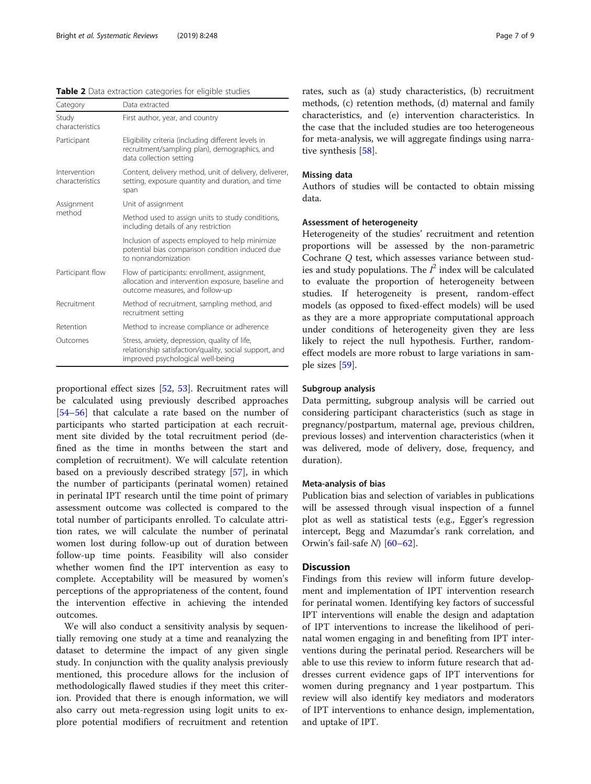<span id="page-6-0"></span>

| Table 2 Data extraction categories for eligible studies |  |  |
|---------------------------------------------------------|--|--|
|                                                         |  |  |

| Category                        | Data extracted                                                                                                                               |  |
|---------------------------------|----------------------------------------------------------------------------------------------------------------------------------------------|--|
| Study<br>characteristics        | First author, year, and country                                                                                                              |  |
| Participant                     | Eligibility criteria (including different levels in<br>recruitment/sampling plan), demographics, and<br>data collection setting              |  |
| Intervention<br>characteristics | Content, delivery method, unit of delivery, deliverer,<br>setting, exposure quantity and duration, and time<br>span                          |  |
| Assignment                      | Unit of assignment                                                                                                                           |  |
| method                          | Method used to assign units to study conditions,<br>including details of any restriction                                                     |  |
|                                 | Inclusion of aspects employed to help minimize<br>potential bias comparison condition induced due<br>to nonrandomization                     |  |
| Participant flow                | Flow of participants: enrollment, assignment,<br>allocation and intervention exposure, baseline and<br>outcome measures, and follow-up       |  |
| Recruitment                     | Method of recruitment, sampling method, and<br>recruitment setting                                                                           |  |
| Retention                       | Method to increase compliance or adherence                                                                                                   |  |
| Outcomes                        | Stress, anxiety, depression, quality of life,<br>relationship satisfaction/quality, social support, and<br>improved psychological well-being |  |

proportional effect sizes [\[52](#page-8-0), [53](#page-8-0)]. Recruitment rates will be calculated using previously described approaches [[54](#page-8-0)–[56](#page-8-0)] that calculate a rate based on the number of participants who started participation at each recruitment site divided by the total recruitment period (defined as the time in months between the start and completion of recruitment). We will calculate retention based on a previously described strategy [[57](#page-8-0)], in which the number of participants (perinatal women) retained in perinatal IPT research until the time point of primary assessment outcome was collected is compared to the total number of participants enrolled. To calculate attrition rates, we will calculate the number of perinatal women lost during follow-up out of duration between follow-up time points. Feasibility will also consider whether women find the IPT intervention as easy to complete. Acceptability will be measured by women's perceptions of the appropriateness of the content, found the intervention effective in achieving the intended outcomes.

We will also conduct a sensitivity analysis by sequentially removing one study at a time and reanalyzing the dataset to determine the impact of any given single study. In conjunction with the quality analysis previously mentioned, this procedure allows for the inclusion of methodologically flawed studies if they meet this criterion. Provided that there is enough information, we will also carry out meta-regression using logit units to explore potential modifiers of recruitment and retention

rates, such as (a) study characteristics, (b) recruitment methods, (c) retention methods, (d) maternal and family characteristics, and (e) intervention characteristics. In the case that the included studies are too heterogeneous for meta-analysis, we will aggregate findings using narra-tive synthesis [[58\]](#page-8-0).

#### Missing data

Authors of studies will be contacted to obtain missing data.

# Assessment of heterogeneity

Heterogeneity of the studies' recruitment and retention proportions will be assessed by the non-parametric Cochrane Q test, which assesses variance between studies and study populations. The  $I^2$  index will be calculated to evaluate the proportion of heterogeneity between studies. If heterogeneity is present, random-effect models (as opposed to fixed-effect models) will be used as they are a more appropriate computational approach under conditions of heterogeneity given they are less likely to reject the null hypothesis. Further, randomeffect models are more robust to large variations in sample sizes [[59\]](#page-8-0).

# Subgroup analysis

Data permitting, subgroup analysis will be carried out considering participant characteristics (such as stage in pregnancy/postpartum, maternal age, previous children, previous losses) and intervention characteristics (when it was delivered, mode of delivery, dose, frequency, and duration).

#### Meta-analysis of bias

Publication bias and selection of variables in publications will be assessed through visual inspection of a funnel plot as well as statistical tests (e.g., Egger's regression intercept, Begg and Mazumdar's rank correlation, and Orwin's fail-safe  $N$  [\[60](#page-8-0)–[62\]](#page-8-0).

# **Discussion**

Findings from this review will inform future development and implementation of IPT intervention research for perinatal women. Identifying key factors of successful IPT interventions will enable the design and adaptation of IPT interventions to increase the likelihood of perinatal women engaging in and benefiting from IPT interventions during the perinatal period. Researchers will be able to use this review to inform future research that addresses current evidence gaps of IPT interventions for women during pregnancy and 1 year postpartum. This review will also identify key mediators and moderators of IPT interventions to enhance design, implementation, and uptake of IPT.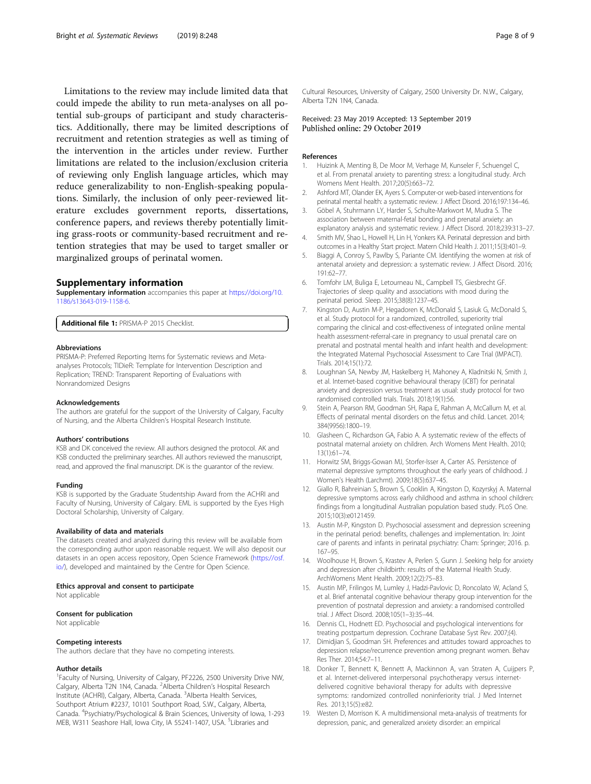<span id="page-7-0"></span>Limitations to the review may include limited data that could impede the ability to run meta-analyses on all potential sub-groups of participant and study characteristics. Additionally, there may be limited descriptions of recruitment and retention strategies as well as timing of the intervention in the articles under review. Further limitations are related to the inclusion/exclusion criteria of reviewing only English language articles, which may reduce generalizability to non-English-speaking populations. Similarly, the inclusion of only peer-reviewed literature excludes government reports, dissertations, conference papers, and reviews thereby potentially limiting grass-roots or community-based recruitment and retention strategies that may be used to target smaller or marginalized groups of perinatal women.

#### Supplementary information

Supplementary information accompanies this paper at [https://doi.org/10.](https://doi.org/10.1186/s13643-019-1158-6) [1186/s13643-019-1158-6.](https://doi.org/10.1186/s13643-019-1158-6)

Additional file 1: PRISMA-P 2015 Checklist.

#### Abbreviations

PRISMA-P: Preferred Reporting Items for Systematic reviews and Metaanalyses Protocols; TIDieR: Template for Intervention Description and Replication; TREND: Transparent Reporting of Evaluations with Nonrandomized Designs

#### Acknowledgements

The authors are grateful for the support of the University of Calgary, Faculty of Nursing, and the Alberta Children's Hospital Research Institute.

#### Authors' contributions

KSB and DK conceived the review. All authors designed the protocol. AK and KSB conducted the preliminary searches. All authors reviewed the manuscript, read, and approved the final manuscript. DK is the guarantor of the review.

#### Funding

KSB is supported by the Graduate Studentship Award from the ACHRI and Faculty of Nursing, University of Calgary. EML is supported by the Eyes High Doctoral Scholarship, University of Calgary.

#### Availability of data and materials

The datasets created and analyzed during this review will be available from the corresponding author upon reasonable request. We will also deposit our datasets in an open access repository, Open Science Framework ([https://osf.](https://osf.io/) [io/\)](https://osf.io/), developed and maintained by the Centre for Open Science.

#### Ethics approval and consent to participate

Not applicable

#### Consent for publication

Not applicable

#### Competing interests

The authors declare that they have no competing interests.

#### Author details

<sup>1</sup> Faculty of Nursing, University of Calgary, PF2226, 2500 University Drive NW, Calgary, Alberta T2N 1N4, Canada. <sup>2</sup>Alberta Children's Hospital Research Institute (ACHRI), Calgary, Alberta, Canada. <sup>3</sup>Alberta Health Services, Southport Atrium #2237, 10101 Southport Road, S.W., Calgary, Alberta, Canada. <sup>4</sup> Psychiatry/Psychological & Brain Sciences, University of Iowa, 1-293 MEB, W311 Seashore Hall, Iowa City, IA 55241-1407, USA. <sup>5</sup>Libraries and

Cultural Resources, University of Calgary, 2500 University Dr. N.W., Calgary, Alberta T2N 1N4, Canada.

### Received: 23 May 2019 Accepted: 13 September 2019 Published online: 29 October 2019

#### References

- 1. Huizink A, Menting B, De Moor M, Verhage M, Kunseler F, Schuengel C, et al. From prenatal anxiety to parenting stress: a longitudinal study. Arch Womens Ment Health. 2017;20(5):663–72.
- 2. Ashford MT, Olander EK, Ayers S. Computer-or web-based interventions for perinatal mental health: a systematic review. J Affect Disord. 2016;197:134–46.
- 3. Göbel A, Stuhrmann LY, Harder S, Schulte-Markwort M, Mudra S. The association between maternal-fetal bonding and prenatal anxiety: an explanatory analysis and systematic review. J Affect Disord. 2018;239:313–27.
- 4. Smith MV, Shao L, Howell H, Lin H, Yonkers KA. Perinatal depression and birth outcomes in a Healthy Start project. Matern Child Health J. 2011;15(3):401–9.
- 5. Biaggi A, Conroy S, Pawlby S, Pariante CM. Identifying the women at risk of antenatal anxiety and depression: a systematic review. J Affect Disord. 2016; 191:62–77.
- 6. Tomfohr LM, Buliga E, Letourneau NL, Campbell TS, Giesbrecht GF. Trajectories of sleep quality and associations with mood during the perinatal period. Sleep. 2015;38(8):1237–45.
- 7. Kingston D, Austin M-P, Hegadoren K, McDonald S, Lasiuk G, McDonald S, et al. Study protocol for a randomized, controlled, superiority trial comparing the clinical and cost-effectiveness of integrated online mental health assessment-referral-care in pregnancy to usual prenatal care on prenatal and postnatal mental health and infant health and development: the Integrated Maternal Psychosocial Assessment to Care Trial (IMPACT). Trials. 2014;15(1):72.
- 8. Loughnan SA, Newby JM, Haskelberg H, Mahoney A, Kladnitski N, Smith J, et al. Internet-based cognitive behavioural therapy (iCBT) for perinatal anxiety and depression versus treatment as usual: study protocol for two randomised controlled trials. Trials. 2018;19(1):56.
- 9. Stein A, Pearson RM, Goodman SH, Rapa E, Rahman A, McCallum M, et al. Effects of perinatal mental disorders on the fetus and child. Lancet. 2014; 384(9956):1800–19.
- 10. Glasheen C, Richardson GA, Fabio A. A systematic review of the effects of postnatal maternal anxiety on children. Arch Womens Ment Health. 2010; 13(1):61–74.
- 11. Horwitz SM, Briggs-Gowan MJ, Storfer-Isser A, Carter AS. Persistence of maternal depressive symptoms throughout the early years of childhood. J Women's Health (Larchmt). 2009;18(5):637–45.
- 12. Giallo R, Bahreinian S, Brown S, Cooklin A, Kingston D, Kozyrskyj A. Maternal depressive symptoms across early childhood and asthma in school children: findings from a longitudinal Australian population based study. PLoS One. 2015;10(3):e0121459.
- 13. Austin M-P, Kingston D. Psychosocial assessment and depression screening in the perinatal period: benefits, challenges and implementation. In: Joint care of parents and infants in perinatal psychiatry: Cham: Springer; 2016. p. 167–95.
- 14. Woolhouse H, Brown S, Krastev A, Perlen S, Gunn J. Seeking help for anxiety and depression after childbirth: results of the Maternal Health Study. ArchWomens Ment Health. 2009;12(2):75–83.
- 15. Austin MP, Frilingos M, Lumley J, Hadzi-Pavlovic D, Roncolato W, Acland S, et al. Brief antenatal cognitive behaviour therapy group intervention for the prevention of postnatal depression and anxiety: a randomised controlled trial. J Affect Disord. 2008;105(1–3):35–44.
- 16. Dennis CL, Hodnett ED. Psychosocial and psychological interventions for treating postpartum depression. Cochrane Database Syst Rev. 2007;(4).
- 17. Dimidjian S, Goodman SH. Preferences and attitudes toward approaches to depression relapse/recurrence prevention among pregnant women. Behav Res Ther. 2014;54:7–11.
- 18. Donker T, Bennett K, Bennett A, Mackinnon A, van Straten A, Cuijpers P, et al. Internet-delivered interpersonal psychotherapy versus internetdelivered cognitive behavioral therapy for adults with depressive symptoms: randomized controlled noninferiority trial. J Med Internet Res. 2013;15(5):e82.
- 19. Westen D, Morrison K. A multidimensional meta-analysis of treatments for depression, panic, and generalized anxiety disorder: an empirical